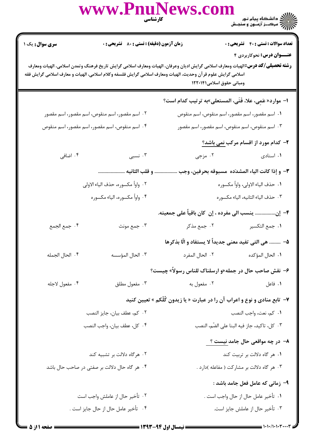|                                     |                                               | www.PnuNews.com<br><b>کارشناسی</b><br>مسیح                                                                                                                                                                                                                                          | )<br>))<br>))) = مرکــز آزمـون و سنجـش               |
|-------------------------------------|-----------------------------------------------|-------------------------------------------------------------------------------------------------------------------------------------------------------------------------------------------------------------------------------------------------------------------------------------|------------------------------------------------------|
| <b>سری سوال :</b> یک ۱              | زمان آزمون (دقیقه) : تستی : 80 ٪ تشریحی : 0   |                                                                                                                                                                                                                                                                                     | <b>تعداد سوالات : تستی : 40 - تشریحی : 0</b>         |
|                                     |                                               | <b>رشته تحصیلی/کد درس:</b> الهیات ومعارف اسلامی گرایش ادیان وعرفان، الهیات ومعارف اسلامی گرایش تاریخ فرهنگ وتمدن اسلامی، الهیات ومعارف<br>اسلامی گرایش علوم قرآن وحدیث، الهیات ومعارف اسلامی گرایش فلسفه وکلام اسلامی، الهیات و معارف اسلامی گرایش فقه<br>ومبانی حقوق اسلامی۱۲۲۰۱۴۱ | عنــوان درس: نحوکاربردی ۴                            |
|                                     |                                               | ا– موارد«عَمِی، علا، فَتَی، المستعلی»به ترتیب کدام است؟                                                                                                                                                                                                                             |                                                      |
|                                     | ۰۲ اسم مقصور، اسم منقوص، اسم مقصور، اسم مقصور | <mark>۱</mark> . اسم مقصور، اسم مقصور، اسم منقوص، اسم منقوص                                                                                                                                                                                                                         |                                                      |
|                                     | ۰۴ اسم منقوص، اسم مقصور، اسم مقصور، اسم منقوص | ۰۳ اسم منقوص، اسم منقوص، اسم مقصور، اسم مقصور                                                                                                                                                                                                                                       |                                                      |
|                                     |                                               |                                                                                                                                                                                                                                                                                     | ۲- کدام مورد از اقسام مرکب <u>نمی باشد؟</u>          |
| ۰۴ اضافی                            | ۰۳ نسبی                                       | ۰۲ مزجی                                                                                                                                                                                                                                                                             | ۰۱ اسنادی                                            |
|                                     | و قلب الثانيه                                 |                                                                                                                                                                                                                                                                                     | ٣- و إذا كانت الياء المشدَده ۖ مسبوقه بحرفين، وجب    |
|                                     | ٢. واواً مكسوره، حذف الياء الاولى             | ٠١ حذف الياء الاولى، واواً مكسوره                                                                                                                                                                                                                                                   |                                                      |
|                                     | ۴. واواً مكسوره، الياء مكسوره                 | ٣. حذف الياء الثانيه، الياء مكسوره                                                                                                                                                                                                                                                  |                                                      |
|                                     |                                               | ۴– إن ينسب الى مفرده ، إن  كان باقياً على جمعيته.                                                                                                                                                                                                                                   |                                                      |
| ۰۴ جمع الجمع                        | ۰۳ جمع مونث                                   | ۰۲ جمع مذکر                                                                                                                                                                                                                                                                         | ٠١ جمع التكسير                                       |
|                                     |                                               | ۵– ……… هي التي تفيد معنى جديداً لا يستفاد و الّا بذكرها                                                                                                                                                                                                                             |                                                      |
| ۰۴ الحال الجمله                     | ۰۳ الحال المؤسسه                              | ٢. الحال المفرد                                                                                                                                                                                                                                                                     | ٠١. الحال المؤكده                                    |
|                                     |                                               | ۶- نقش صاحب حال در جمله«و ارسلناک للناس رسولاً» چیست؟                                                                                                                                                                                                                               |                                                      |
| ۰۴ مفعول لاجله                      | ۰۳ مفعول مطلق                                 | ۰۲ مفعول به                                                                                                                                                                                                                                                                         | ٠١ فاعل                                              |
|                                     |                                               | ۷- تابع منادی و نوع و اعراب آن را در عبارت « یا زیدون کُلّکم » تعیین کنید                                                                                                                                                                                                           |                                                      |
|                                     | ٠٢ كم، عطف بيان، جايز النصب                   | ٠١. كم، نعت، واجب النصب                                                                                                                                                                                                                                                             |                                                      |
|                                     | ۰۴ كل، عطف بيان، واجب النصب                   | ۰۳ كل، تاكيد، جاز فيه البنا على الضّم، النصب                                                                                                                                                                                                                                        |                                                      |
|                                     |                                               |                                                                                                                                                                                                                                                                                     | <mark>۸</mark> − در چه مواقعی حال جامد <u>نیست ؟</u> |
|                                     | ۰۲ هرگاه دلالت بر تشبیه کند                   | ۰۱ هر گاه دلالت بر تربیت کند                                                                                                                                                                                                                                                        |                                                      |
|                                     | ۰۴ هر گاه حال دلالت بر صفتی در صاحب حال باشد  |                                                                                                                                                                                                                                                                                     | ۰۳ هر گاه دلالت بر مشارکت ( مفاعله )دارد .           |
|                                     |                                               |                                                                                                                                                                                                                                                                                     | ۹- زمانی که عامل فعل جامد باشد :                     |
|                                     | ۰۲ تأخیر حال از عاملش واجب است                |                                                                                                                                                                                                                                                                                     | ٠١ تأخير عامل حال از حال واجب است .                  |
| ۰۴ تأخیر عامل حال از حال جایز است . |                                               |                                                                                                                                                                                                                                                                                     | ۰۳ تأخیر حال از عاملش جایز است.                      |

 $rac{1}{2}$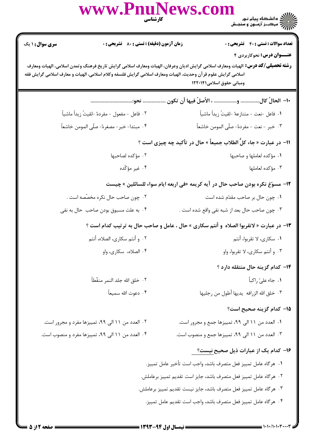|                                                                    | www.PnuNews.com                                                                                              | <b>کارشناسی</b><br>استان                                                                                                                                                                         |  |  |
|--------------------------------------------------------------------|--------------------------------------------------------------------------------------------------------------|--------------------------------------------------------------------------------------------------------------------------------------------------------------------------------------------------|--|--|
| <b>سری سوال : ۱ یک</b>                                             | <b>زمان آزمون (دقیقه) : تستی : 80 ٪ تشریحی : 0</b>                                                           | <b>تعداد سوالات : تستی : 40 - تشریحی : 0</b>                                                                                                                                                     |  |  |
|                                                                    | اسلامی گرایش علوم قرآن وحدیث، الهیات ومعارف اسلامی گرایش فلسفه وکلام اسلامی، الهیات و معارف اسلامی گرایش فقه | عنــوان درس: نحوکاربردی ۴<br><b>رشته تحصیلی/کد درس:</b> الهیات ومعارف اسلامی گرایش ادیان وعرفان، الهیات ومعارف اسلامی گرایش تاریخ فرهنگ وتمدن اسلامی، الهیات ومعارف<br>ومبانی حقوق اسلامی۱۲۲۰۱۴۱ |  |  |
|                                                                    |                                                                                                              |                                                                                                                                                                                                  |  |  |
|                                                                    | ٢. فاعل -مفعول -مفردهٌ -لقيتُ زيداً ماشياً                                                                   | ١. فاعل -نعت - متنازعهٌ -لقيتُ زيداً ماشياً                                                                                                                                                      |  |  |
|                                                                    | ۴ . مبتدا- خبر- مصغرهً- صلّى المومن خاشعاً                                                                   | ٣. خبر - نعت - مفردهً- صلَّى المومن خاشعاً                                                                                                                                                       |  |  |
| 11– در عبارت « جاء کلَّ الطلاب جمیعاً » حال در تأکید چه چیزی است ؟ |                                                                                                              |                                                                                                                                                                                                  |  |  |
|                                                                    | ۰۲ مؤکده لصاحبها                                                                                             | ۰۱ مؤکده لعاملها و صاحبها                                                                                                                                                                        |  |  |
|                                                                    | ۰۴ غیر مؤکّده                                                                                                | ۰۳ مؤکده لعاملها                                                                                                                                                                                 |  |  |
|                                                                    |                                                                                                              | ۱۲– مسوّغ نکره بودن صاحب حال در آیه کریمه «فی اربعه ایام سواء للسائلین » چیست                                                                                                                    |  |  |
|                                                                    | ۰۲ چون صاحب حال نکره مخصّصه است .                                                                            | ٠١ چون حال بر صاحب مقدّم شده است                                                                                                                                                                 |  |  |
|                                                                    | ۰۴ به علت مسبوق بودن صاحب حال به نفی                                                                         | ۰۳ چون صاحب حال بعد از شبه نفی واقع شده است .                                                                                                                                                    |  |  |
|                                                                    |                                                                                                              | ۱۳- در عبارت « لاتقربوا الصلاه  و أنتم سكارى » حال ، عامل و صاحب حال به ترتیب كدام است ؟                                                                                                         |  |  |
|                                                                    | ۰۲ و أنتم سكارى، الصلاه، أنتم                                                                                | ۰۱ سکاری، لا تقربوا، أنتم                                                                                                                                                                        |  |  |
|                                                                    | ۰۴ الصلاه، سكارى، واو                                                                                        | ۰۳ و أنتم سكارى، لا تقربوا، واو                                                                                                                                                                  |  |  |
|                                                                    |                                                                                                              | ۱۴– کدام گزینه حال منتقله دارد ؟                                                                                                                                                                 |  |  |
|                                                                    | ٠٢ خلق الله جلد النمر منقّطاً                                                                                | ۰۱ جاء علیّ <sub>ر</sub> اکباً                                                                                                                                                                   |  |  |
|                                                                    | ۴ . دعوت الله سميعاً                                                                                         | ۰۳ خلق الله الزرافه يديها أطول من رجليها                                                                                                                                                         |  |  |
|                                                                    |                                                                                                              | ۱۵– کدام گزینه صحیح است؟                                                                                                                                                                         |  |  |
|                                                                    | ۲. العدد من ۱۱ الی ۹۹، تمییزها مفرد و مجرور است.                                                             | ۰۱ العدد من ۱۱ الی ۹۹، تمییزها جمع و مجرور است.                                                                                                                                                  |  |  |
|                                                                    | ۰۴ العدد من ۱۱ الی ۹۹، تمییزها مفرد و منصوب است.                                                             | ۳. العدد من ۱۱ الی ۹۹، تمییزها جمع و منصوب است.                                                                                                                                                  |  |  |
|                                                                    |                                                                                                              | ۱۶– کدام یک از عبارات ذیل صحیح <u>نیست؟</u>                                                                                                                                                      |  |  |
|                                                                    |                                                                                                              | ٠١ هرگاه عامل تمييز فعل متصرف باشد، واجب است تأخير عامل تمييز.                                                                                                                                   |  |  |
|                                                                    |                                                                                                              | ٢. هرگاه عامل تمييز فعل متصرف باشد، جايز است تقديم تمييز برعاملش.                                                                                                                                |  |  |
|                                                                    |                                                                                                              | ۰۳ هرگاه عامل تمییز فعل متصرف باشد، جایز نیست تقدیم تمییز برعاملش.                                                                                                                               |  |  |
|                                                                    |                                                                                                              | ۴ . هر گاه عامل تمييز فعل متصرف باشد، واجب است تقديم عامل تمييز.                                                                                                                                 |  |  |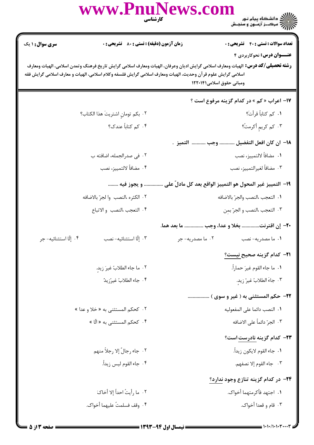|                        | www.PnuNews.com                                                                                              | ے :<br>حکالات دانشگاہ پیام نور<br>حکالات مرکبز آزمنوں و سنجش<br><b>کارشناسی</b>                                                                                                                  |
|------------------------|--------------------------------------------------------------------------------------------------------------|--------------------------------------------------------------------------------------------------------------------------------------------------------------------------------------------------|
| <b>سری سوال : ۱ یک</b> | زمان آزمون (دقیقه) : تستی : 80 ٪ تشریحی : 0                                                                  | <b>تعداد سوالات : تستی : ۴۰ ٪ تشریحی : 0</b>                                                                                                                                                     |
|                        | اسلامی گرایش علوم قرآن وحدیث، الهیات ومعارف اسلامی گرایش فلسفه وکلام اسلامی، الهیات و معارف اسلامی گرایش فقه | عنــوان درس: نحوکاربردی ۴<br><b>رشته تحصیلی/کد درس:</b> الهیات ومعارف اسلامی گرایش ادیان وعرفان، الهیات ومعارف اسلامی گرایش تاریخ فرهنگ وتمدن اسلامی، الهیات ومعارف<br>ومبانی حقوق اسلامی۱۲۲۰۱۴۱ |
|                        |                                                                                                              | <b>۱۷- اعراب « کم » در کدام گزینه مرفوع است ؟</b>                                                                                                                                                |
|                        | ٢. بكم تومانِ اشتريتَ هذا الكتاب؟                                                                            | ۰۱ کم کتاباً قرأتَ؟                                                                                                                                                                              |
|                        | ۰۴ کم کتاباً عندک؟                                                                                           | ۰۳ کم کريمِ أکرمتُ؟                                                                                                                                                                              |
|                        |                                                                                                              | <mark>١٨</mark> - ان كان افعل التفضيل  وجب   التميز  .                                                                                                                                           |
|                        | ٢. في صدرالجمله، اضافته ب                                                                                    | ٠١. مضافاً لالتمييز، نصب                                                                                                                                                                         |
|                        | ۰۴ مضافاً لالتمييز، نصب                                                                                      | ۰۳ مضافاً لغيرالتمييز، نصب                                                                                                                                                                       |
|                        | و يجوز فيه                                                                                                   | ١٩– التمييز غير المحول هو التمييز الواقع بعد كل مادلّ على                                                                                                                                        |
|                        | ٠٢ الكثره ،النصب وا لجرّ بالاضافه                                                                            | ٠١. التعجب ،النصب والجرّ بالاضافه                                                                                                                                                                |
|                        | ۴. التعجب النصب والاتباع                                                                                     | ٠٣ التعجب ،النصب و الجرّ بمن                                                                                                                                                                     |
|                        |                                                                                                              | بخلا و عدا، وجب  ما بعد هما.<br>∙۲− إن اقترنت.                                                                                                                                                   |
| ۰۴ إلّا استثنائيه- جر  | ٠٣ إلّا استثنائيه- نصب                                                                                       | ۰۱ ما مصدریه- نصب مسدریه به است.<br>او مسلم به است مسلم مسلم به است و مسلم به این مسلم به است و مسلم مسلم به است و مسلم مسلم مسلم مسلم مسلم مسلم م                                               |
|                        |                                                                                                              | <del>۲۱</del> – کدام گزینه صحیح نیست؟                                                                                                                                                            |
|                        | ٢. ما جاء الطلابُ غيرَ زيدٍ.                                                                                 | ٠١. ما جاء القوم غيرَ حماراً.                                                                                                                                                                    |
|                        | ۰۴ جاء الطلابُ غيرُزيدٌ                                                                                      | ٠٣ جاءَ الطلابُ غيرٌ زيد.                                                                                                                                                                        |
|                        |                                                                                                              | ٢٢- حكم المستثنى به ( غير و سوى )                                                                                                                                                                |
|                        | ۰۲ كحكم المستثنى به « خلا و عدا »                                                                            | ٠١ النصب دائما على المفعوليه                                                                                                                                                                     |
|                        | ۰۴ کحکم المستثنی به « الّا »                                                                                 | ۰۳ الجرّ دائماً على الاضافه                                                                                                                                                                      |
|                        |                                                                                                              | <b>۲۳</b> – کدام گزینه نادرست است؟                                                                                                                                                               |
|                        | ٠٢ جاء رجالٌ إلا رجلاً منهم                                                                                  | ٠١. جاء القوم لايكون زيداً.                                                                                                                                                                      |
|                        | ۰۴ جاء القوم ليس زيداً.                                                                                      | ٠٣ جاء القوم إلا نصفهم.                                                                                                                                                                          |
|                        |                                                                                                              | ۲۴– در کدام گزینه تنازع وجود ندارد؟                                                                                                                                                              |
|                        | ٠٢ ما رأيتُ احداً إلا أخاكَ                                                                                  | ٠١. اجتهد فأكرمتهما أخواك.                                                                                                                                                                       |
|                        | ۰۴ وقف فسلمتُ عليهما أخواك.                                                                                  | ۰۳ قام و قعدا أخواک.                                                                                                                                                                             |
|                        |                                                                                                              |                                                                                                                                                                                                  |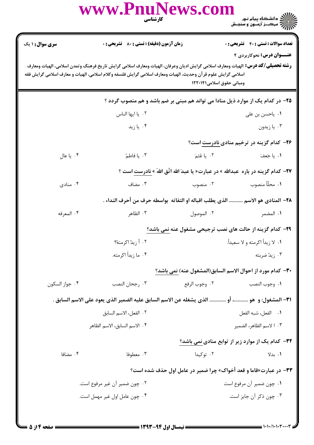|                                                                                                                                                                                                                                                                                                                          | www.PnuNews.com                                    | <b>کار شناسی</b><br>مسینی | )<br>)))))) دانشگاه پیام نور<br>)))))) مرکــز آزمـون و سنجـش                                 |  |
|--------------------------------------------------------------------------------------------------------------------------------------------------------------------------------------------------------------------------------------------------------------------------------------------------------------------------|----------------------------------------------------|---------------------------|----------------------------------------------------------------------------------------------|--|
| <b>سری سوال : ۱ یک</b>                                                                                                                                                                                                                                                                                                   | <b>زمان آزمون (دقیقه) : تستی : 80 ٪ تشریحی : 0</b> |                           | <b>تعداد سوالات : تستی : 40 ٪ تشریحی : 0</b>                                                 |  |
| <b>عنــوان درس:</b> نحوکاربردی ۴<br><b>رشته تحصیلی/کد درس:</b> الهیات ومعارف اسلامی گرایش ادیان وعرفان، الهیات ومعارف اسلامی گرایش تاریخ فرهنگ وتمدن اسلامی، الهیات ومعارف<br>اسلامی گرایش علوم قر آن وحدیث، الهیات ومعارف اسلامی گرایش فلسفه وکلام اسلامی، الهیات و معارف اسلامی گرایش فقه<br>ومبانی حقوق اسلامی۱۲۲۰۱۴۱ |                                                    |                           |                                                                                              |  |
| ۲۵– در کدام یک از موارد ذیل منادا می تواند هم مبنی بر ضم باشد و هم منصوب گردد ؟                                                                                                                                                                                                                                          |                                                    |                           |                                                                                              |  |
|                                                                                                                                                                                                                                                                                                                          | ٠٢. يا ايها الناس                                  |                           | ۰۱ یاحسن بن علی                                                                              |  |
|                                                                                                                                                                                                                                                                                                                          | ۰۴ یا زید                                          |                           | ۰۳ يا زيدون                                                                                  |  |
|                                                                                                                                                                                                                                                                                                                          |                                                    |                           | <b>۳۶</b> - کدام گزینه در ترخیم منادی نادرست است؟                                            |  |
| ۰۴ یا عالِ                                                                                                                                                                                                                                                                                                               | ۰۳ یا فاطمً                                        | ۲. یا عُثمَ               | ١. يا جَعفَ                                                                                  |  |
|                                                                                                                                                                                                                                                                                                                          |                                                    |                           | 37- كدام گزينه در باره عبدالله » در عبارت« يا عبدَ الله اتّق اللهَ » نادرست است ؟            |  |
| ۰۴ منادی                                                                                                                                                                                                                                                                                                                 | ۰۳ مضاف                                            | ۰۲ منصوب                  | ٠١. محلّاً منصوب                                                                             |  |
|                                                                                                                                                                                                                                                                                                                          |                                                    |                           | ٢٨– المنادي هو الاسم  الذي يطلب اقباله او التفاته  بواسطه حرف من أحرف النداء .               |  |
| ۰۴ المعرفه                                                                                                                                                                                                                                                                                                               | ۰۳ الظاهر                                          | ۰۲ الموصول                | ١. المضمر                                                                                    |  |
|                                                                                                                                                                                                                                                                                                                          |                                                    |                           | ۲۹- کدام گزینه از حالت های نصب ترجیحی مشغول عنه نمی باشد؟                                    |  |
|                                                                                                                                                                                                                                                                                                                          | ۰۲ أ زيدٌ اكرمتهُ؟                                 |                           | ١. لا زيداً اكرمته و لا سعيداً.                                                              |  |
|                                                                                                                                                                                                                                                                                                                          | ۰۴ ما زيداً اكرمته.                                |                           | ۰۳ زيد ّضربته                                                                                |  |
|                                                                                                                                                                                                                                                                                                                          |                                                    |                           | ٣٠- كدام مورد از احوال الاسم السابق(المشغول عنه) نمي باشد؟                                   |  |
| ۰۴ جواز السكون                                                                                                                                                                                                                                                                                                           | ۰۳ رجحان النصب                                     | ٠٢ وجوب الرفع             | ٠١. وجوب النصب                                                                               |  |
|                                                                                                                                                                                                                                                                                                                          |                                                    |                           | ٣١- المشغول: و  هو ، أو  الذي يشغله عن الاسم السابق عليه الضمير الذي يعود على الاسم السابق . |  |
|                                                                                                                                                                                                                                                                                                                          | ٠٢ الفعل، الاسم السابق                             |                           | ٠١ الفعل، شبه الفعل                                                                          |  |
|                                                                                                                                                                                                                                                                                                                          | ۴. الاسم السابق، الاسم الظاهر                      |                           | ۰۳ الاسم الظاهر، الضمير                                                                      |  |
|                                                                                                                                                                                                                                                                                                                          |                                                    |                           | ۳۲– کدام یک از موارد زیر از توابع منادی <u>نمی</u> باشد؟                                     |  |
| ۰۴ مضافا                                                                                                                                                                                                                                                                                                                 | ۰۳ معطوفا                                          | ۰۲ توکیدا                 | ۰۱. بدلا                                                                                     |  |
|                                                                                                                                                                                                                                                                                                                          |                                                    |                           | <b>۳۳</b> - در عبارت«قاما و قعد أخواک» چرا ضمیر در عامل اول حذف شده است؟                     |  |
| ۰۲ چون ضمیر آن غیر مرفوع است.                                                                                                                                                                                                                                                                                            |                                                    |                           | ٠١ چون ضمير آن مرفوع است                                                                     |  |
|                                                                                                                                                                                                                                                                                                                          | ۰۴ چون عامل اول غیر مهمل است.                      |                           | ۰۳ چون ذکر آن جایز است.                                                                      |  |
|                                                                                                                                                                                                                                                                                                                          |                                                    |                           |                                                                                              |  |